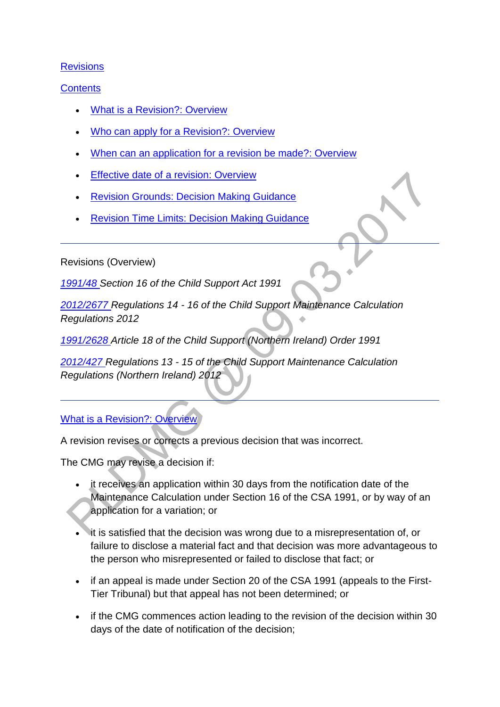### **[Revisions](http://np-cmg-sharepoint.link2.gpn.gov.uk/sites/policy-law-and-decision-making-guidance/Pages/Revisions/Revisions.aspx)**

### **[Contents](http://np-cmg-sharepoint.link2.gpn.gov.uk/sites/policy-law-and-decision-making-guidance/Pages/Revisions/Revisions.aspx)**

- [What is a Revision?: Overview](http://np-cmg-sharepoint.link2.gpn.gov.uk/sites/policy-law-and-decision-making-guidance/Pages/Revisions/Revisions.aspx#whatisarevision)
- [Who can apply for a Revision?: Overview](http://np-cmg-sharepoint.link2.gpn.gov.uk/sites/policy-law-and-decision-making-guidance/Pages/Revisions/Revisions.aspx#whocanapplyoverview)
- [When can an application for a revision be made?: Overview](http://np-cmg-sharepoint.link2.gpn.gov.uk/sites/policy-law-and-decision-making-guidance/Pages/Revisions/Revisions.aspx#whenoverview)
- [Effective date of a revision: Overview](http://np-cmg-sharepoint.link2.gpn.gov.uk/sites/policy-law-and-decision-making-guidance/Pages/Revisions/Revisions.aspx#effectivedatesoverview)
- [Revision Grounds: Decision Making Guidance](http://np-cmg-sharepoint.link2.gpn.gov.uk/sites/policy-law-and-decision-making-guidance/Pages/Revisions/Revisions.aspx#revisiongrounds)
- [Revision Time Limits: Decision Making Guidance](http://np-cmg-sharepoint.link2.gpn.gov.uk/sites/policy-law-and-decision-making-guidance/Pages/Revisions/Revisions.aspx#revisiontimelimits)

Revisions (Overview)

*[1991/48 S](http://www.legislation.gov.uk/ukpga/1991/48)ection 16 of the Child Support Act 1991*

*[2012/2677 R](http://www.legislation.gov.uk/uksi/2012/2677)egulations 14 - 16 of the Child Support Maintenance Calculation Regulations 2012* 

*[1991/2628 A](http://www.legislation.gov.uk/nisi/1991/2628/contents)rticle 18 of the Child Support (Northern Ireland) Order 1991*

*[2012/427 R](http://www.legislation.gov.uk/nisr/2012/427/contents/made)egulations 13 - 15 of the Child Support Maintenance Calculation Regulations (Northern Ireland) 2012*

# [What is a Revision?: Overview](http://np-cmg-sharepoint.link2.gpn.gov.uk/sites/policy-law-and-decision-making-guidance/Pages/Revisions/Revisions.aspx)

A revision revises or corrects a previous decision that was incorrect.

The CMG may revise a decision if:

- it receives an application within 30 days from the notification date of the Maintenance Calculation under Section 16 of the CSA 1991, or by way of an application for a variation; or
- it is satisfied that the decision was wrong due to a misrepresentation of, or failure to disclose a material fact and that decision was more advantageous to the person who misrepresented or failed to disclose that fact; or
- if an appeal is made under Section 20 of the CSA 1991 (appeals to the First-Tier Tribunal) but that appeal has not been determined; or
- if the CMG commences action leading to the revision of the decision within 30 days of the date of notification of the decision;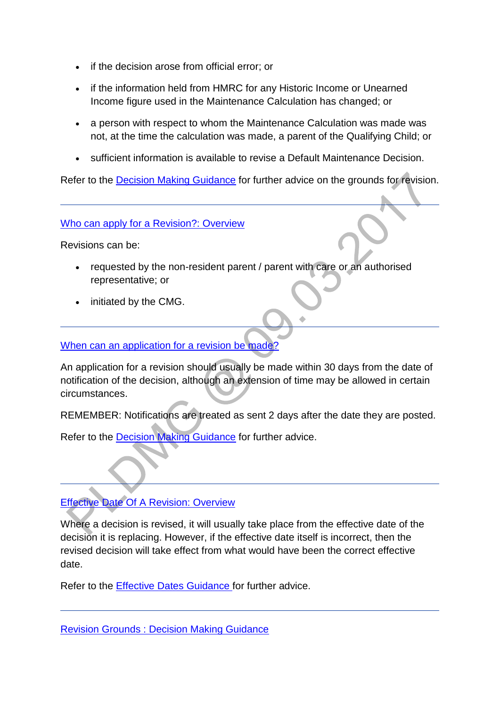- if the decision arose from official error; or
- if the information held from HMRC for any Historic Income or Unearned Income figure used in the Maintenance Calculation has changed; or
- a person with respect to whom the Maintenance Calculation was made was not, at the time the calculation was made, a parent of the Qualifying Child; or
- sufficient information is available to revise a Default Maintenance Decision.

Refer to the [Decision Making Guidance](http://np-cmg-sharepoint.link2.gpn.gov.uk/sites/policy-law-and-decision-making-guidance/Pages/Revisions/Revisions.aspx#revisiongrounds) for further advice on the grounds for revision.

[Who can apply for a Revision?: Overview](http://np-cmg-sharepoint.link2.gpn.gov.uk/sites/policy-law-and-decision-making-guidance/Pages/Revisions/Revisions.aspx)

Revisions can be:

- requested by the non-resident parent / parent with care or an authorised representative; or
- initiated by the CMG.

[When can an application for a revision be made?](http://np-cmg-sharepoint.link2.gpn.gov.uk/sites/policy-law-and-decision-making-guidance/Pages/Revisions/Revisions.aspx)

An application for a revision should usually be made within 30 days from the date of notification of the decision, although an extension of time may be allowed in certain circumstances.

REMEMBER: Notifications are treated as sent 2 days after the date they are posted.

Refer to the [Decision Making Guidance](http://np-cmg-sharepoint.link2.gpn.gov.uk/sites/policy-law-and-decision-making-guidance/Pages/Revisions/Revisions.aspx#revisiongrounds) for further advice.

### [Effective Date Of A Revision: Overview](http://np-cmg-sharepoint.link2.gpn.gov.uk/sites/policy-law-and-decision-making-guidance/Pages/Revisions/Revisions.aspx)

Where a decision is revised, it will usually take place from the effective date of the decision it is replacing. However, if the effective date itself is incorrect, then the revised decision will take effect from what would have been the correct effective date.

Refer to the [Effective Dates Guidance f](http://np-cmg-sharepoint.link2.gpn.gov.uk/sites/policy-law-and-decision-making-guidance/Pages/Effective%20Dates/Effective-Dates.aspx)or further advice.

[Revision Grounds : Decision Making Guidance](http://np-cmg-sharepoint.link2.gpn.gov.uk/sites/policy-law-and-decision-making-guidance/Pages/Revisions/Revisions.aspx)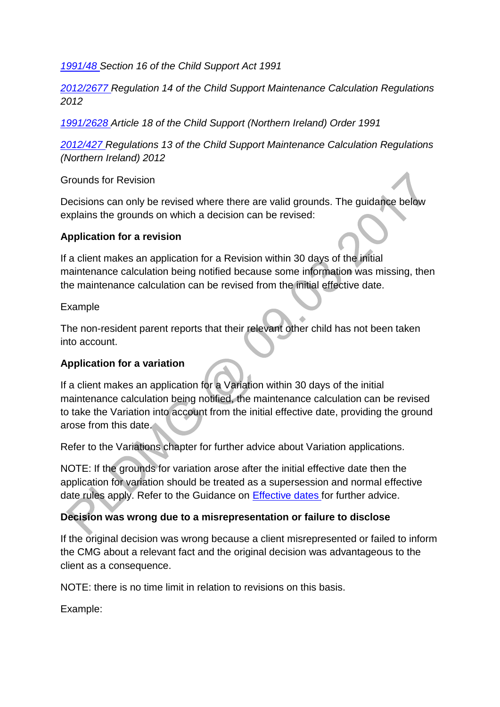*[1991/48 S](http://www.legislation.gov.uk/ukpga/1991/48)ection 16 of the Child Support Act 1991*

*[2012/2677 R](http://www.legislation.gov.uk/uksi/2012/2677)egulation 14 of the Child Support Maintenance Calculation Regulations 2012*

*[1991/2628 A](http://www.legislation.gov.uk/nisi/1991/2628/contents)rticle 18 of the Child Support (Northern Ireland) Order 1991* 

*[2012/427 R](http://www.legislation.gov.uk/nisr/2012/427/contents/made)egulations 13 of the Child Support Maintenance Calculation Regulations (Northern Ireland) 2012*

Grounds for Revision

Decisions can only be revised where there are valid grounds. The guidance below explains the grounds on which a decision can be revised:

### **Application for a revision**

If a client makes an application for a Revision within 30 days of the initial maintenance calculation being notified because some information was missing, then the maintenance calculation can be revised from the initial effective date.

#### Example

The non-resident parent reports that their relevant other child has not been taken into account.

### **Application for a variation**

If a client makes an application for a Variation within 30 days of the initial maintenance calculation being notified, the maintenance calculation can be revised to take the Variation into account from the initial effective date, providing the ground arose from this date.

Refer to the Variations chapter for further advice about Variation applications.

NOTE: If the grounds for variation arose after the initial effective date then the application for variation should be treated as a supersession and normal effective date rules apply. Refer to the Guidance on [Effective dates f](http://np-cmg-sharepoint.link2.gpn.gov.uk/sites/policy-law-and-decision-making-guidance/Pages/Effective%20Dates/Effective-Dates.aspx)or further advice.

### **Decision was wrong due to a misrepresentation or failure to disclose**

If the original decision was wrong because a client misrepresented or failed to inform the CMG about a relevant fact and the original decision was advantageous to the client as a consequence.

NOTE: there is no time limit in relation to revisions on this basis.

Example: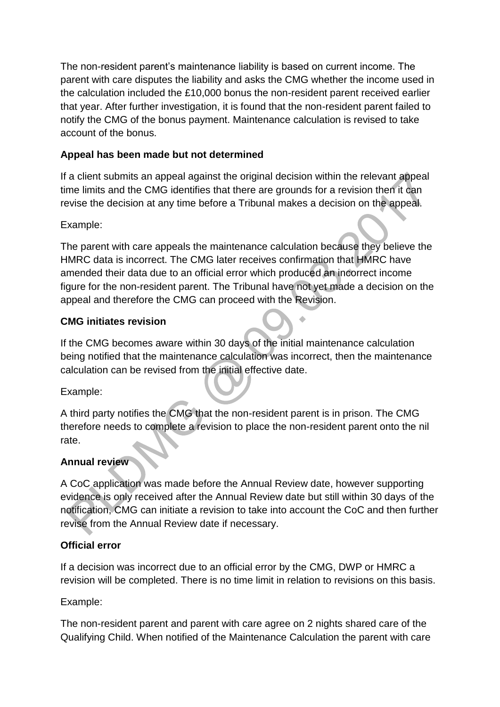The non-resident parent's maintenance liability is based on current income. The parent with care disputes the liability and asks the CMG whether the income used in the calculation included the £10,000 bonus the non-resident parent received earlier that year. After further investigation, it is found that the non-resident parent failed to notify the CMG of the bonus payment. Maintenance calculation is revised to take account of the bonus.

### **Appeal has been made but not determined**

If a client submits an appeal against the original decision within the relevant appeal time limits and the CMG identifies that there are grounds for a revision then it can revise the decision at any time before a Tribunal makes a decision on the appeal.

#### Example:

The parent with care appeals the maintenance calculation because they believe the HMRC data is incorrect. The CMG later receives confirmation that HMRC have amended their data due to an official error which produced an incorrect income figure for the non-resident parent. The Tribunal have not yet made a decision on the appeal and therefore the CMG can proceed with the Revision.

### **CMG initiates revision**

If the CMG becomes aware within 30 days of the initial maintenance calculation being notified that the maintenance calculation was incorrect, then the maintenance calculation can be revised from the initial effective date.

Example:

A third party notifies the CMG that the non-resident parent is in prison. The CMG therefore needs to complete a revision to place the non-resident parent onto the nil rate.

### **Annual review**

A CoC application was made before the Annual Review date, however supporting evidence is only received after the Annual Review date but still within 30 days of the notification, CMG can initiate a revision to take into account the CoC and then further revise from the Annual Review date if necessary.

### **Official error**

If a decision was incorrect due to an official error by the CMG, DWP or HMRC a revision will be completed. There is no time limit in relation to revisions on this basis.

### Example:

The non-resident parent and parent with care agree on 2 nights shared care of the Qualifying Child. When notified of the Maintenance Calculation the parent with care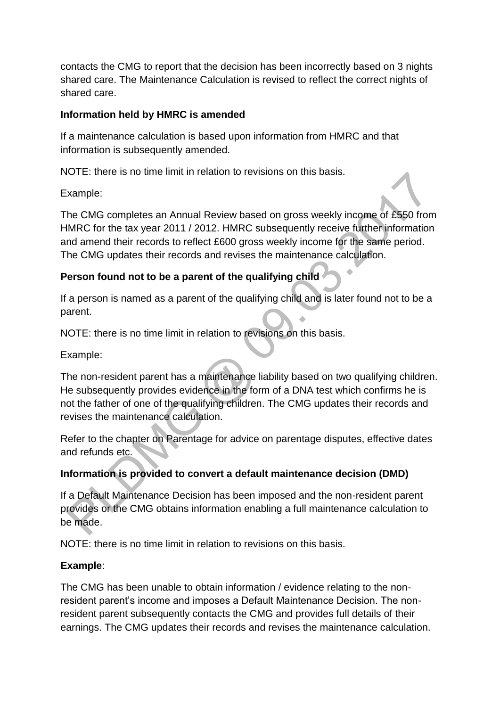contacts the CMG to report that the decision has been incorrectly based on 3 nights shared care. The Maintenance Calculation is revised to reflect the correct nights of shared care.

### **Information held by HMRC is amended**

If a maintenance calculation is based upon information from HMRC and that information is subsequently amended.

NOTE: there is no time limit in relation to revisions on this basis.

Example:

The CMG completes an Annual Review based on gross weekly income of £550 from HMRC for the tax year 2011 / 2012. HMRC subsequently receive further information and amend their records to reflect £600 gross weekly income for the same period. The CMG updates their records and revises the maintenance calculation.

# **Person found not to be a parent of the qualifying child**

If a person is named as a parent of the qualifying child and is later found not to be a parent.

NOTE: there is no time limit in relation to revisions on this basis.

Example:

The non-resident parent has a maintenance liability based on two qualifying children. He subsequently provides evidence in the form of a DNA test which confirms he is not the father of one of the qualifying children. The CMG updates their records and revises the maintenance calculation.

Refer to the chapter on Parentage for advice on parentage disputes, effective dates and refunds etc.

# **Information is provided to convert a default maintenance decision (DMD)**

If a Default Maintenance Decision has been imposed and the non-resident parent provides or the CMG obtains information enabling a full maintenance calculation to be made.

NOTE: there is no time limit in relation to revisions on this basis.

# **Example**:

The CMG has been unable to obtain information / evidence relating to the nonresident parent's income and imposes a Default Maintenance Decision. The nonresident parent subsequently contacts the CMG and provides full details of their earnings. The CMG updates their records and revises the maintenance calculation.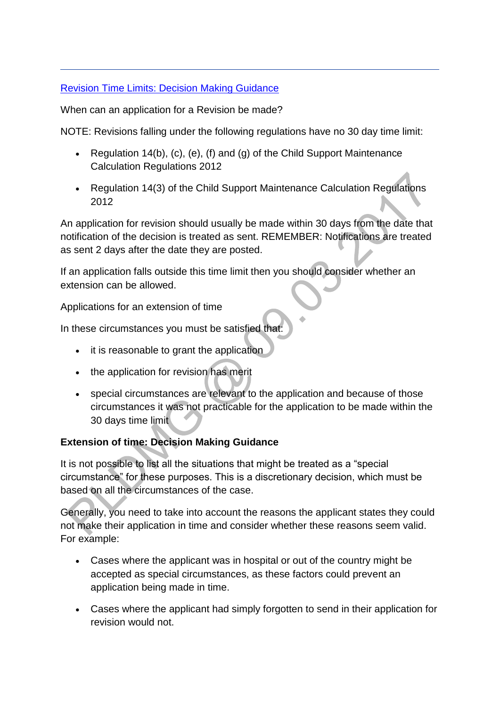### [Revision Time Limits: Decision Making Guidance](http://np-cmg-sharepoint.link2.gpn.gov.uk/sites/policy-law-and-decision-making-guidance/Pages/Revisions/Revisions.aspx)

When can an application for a Revision be made?

NOTE: Revisions falling under the following regulations have no 30 day time limit:

- Regulation 14(b), (c), (e), (f) and (g) of the Child Support Maintenance Calculation Regulations 2012
- Regulation 14(3) of the Child Support Maintenance Calculation Regulations 2012

An application for revision should usually be made within 30 days from the date that notification of the decision is treated as sent. REMEMBER: Notifications are treated as sent 2 days after the date they are posted.

If an application falls outside this time limit then you should consider whether an extension can be allowed.

Applications for an extension of time

In these circumstances you must be satisfied that:

- it is reasonable to grant the application
- the application for revision has merit
- special circumstances are relevant to the application and because of those circumstances it was not practicable for the application to be made within the 30 days time limit

# **Extension of time: Decision Making Guidance**

It is not possible to list all the situations that might be treated as a "special circumstance" for these purposes. This is a discretionary decision, which must be based on all the circumstances of the case.

Generally, you need to take into account the reasons the applicant states they could not make their application in time and consider whether these reasons seem valid. For example:

- Cases where the applicant was in hospital or out of the country might be accepted as special circumstances, as these factors could prevent an application being made in time.
- Cases where the applicant had simply forgotten to send in their application for revision would not.